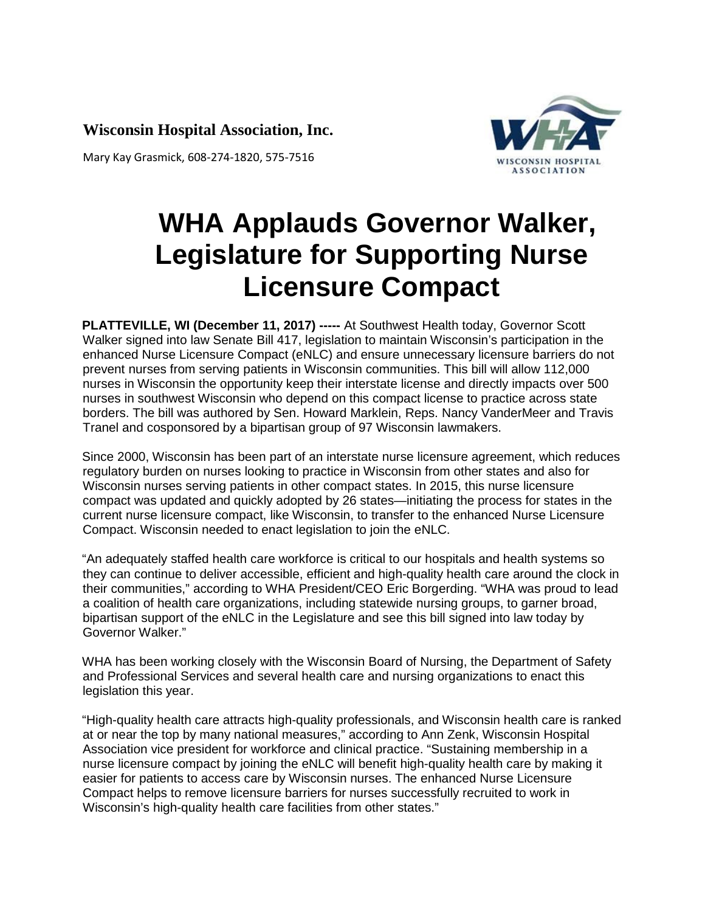**Wisconsin Hospital Association, Inc.**

Mary Kay Grasmick, 608-274-1820, 575-7516



## **WHA Applauds Governor Walker, Legislature for Supporting Nurse Licensure Compact**

**PLATTEVILLE, WI (December 11, 2017) -----** At Southwest Health today, Governor Scott Walker signed into law Senate Bill 417, legislation to maintain Wisconsin's participation in the enhanced Nurse Licensure Compact (eNLC) and ensure unnecessary licensure barriers do not prevent nurses from serving patients in Wisconsin communities. This bill will allow 112,000 nurses in Wisconsin the opportunity keep their interstate license and directly impacts over 500 nurses in southwest Wisconsin who depend on this compact license to practice across state borders. The bill was authored by Sen. Howard Marklein, Reps. Nancy VanderMeer and Travis Tranel and cosponsored by a bipartisan group of 97 Wisconsin lawmakers.

Since 2000, Wisconsin has been part of an interstate nurse licensure agreement, which reduces regulatory burden on nurses looking to practice in Wisconsin from other states and also for Wisconsin nurses serving patients in other compact states. In 2015, this nurse licensure compact was updated and quickly adopted by 26 states—initiating the process for states in the current nurse licensure compact, like Wisconsin, to transfer to the enhanced Nurse Licensure Compact. Wisconsin needed to enact legislation to join the eNLC.

"An adequately staffed health care workforce is critical to our hospitals and health systems so they can continue to deliver accessible, efficient and high-quality health care around the clock in their communities," according to WHA President/CEO Eric Borgerding. "WHA was proud to lead a coalition of health care organizations, including statewide nursing groups, to garner broad, bipartisan support of the eNLC in the Legislature and see this bill signed into law today by Governor Walker."

WHA has been working closely with the Wisconsin Board of Nursing, the Department of Safety and Professional Services and several health care and nursing organizations to enact this legislation this year.

"High-quality health care attracts high-quality professionals, and Wisconsin health care is ranked at or near the top by many national measures," according to Ann Zenk, Wisconsin Hospital Association vice president for workforce and clinical practice. "Sustaining membership in a nurse licensure compact by joining the eNLC will benefit high-quality health care by making it easier for patients to access care by Wisconsin nurses. The enhanced Nurse Licensure Compact helps to remove licensure barriers for nurses successfully recruited to work in Wisconsin's high-quality health care facilities from other states."